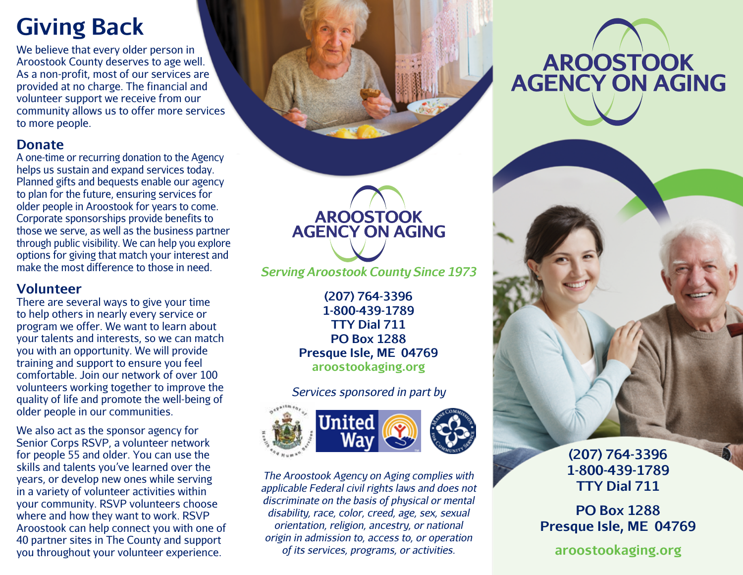# **Giving Back**

We believe that every older person in Aroostook County deserves to age well. As a non-profit, most of our services are provided at no charge. The financial and volunteer support we receive from our community allows us to offer more services to more people.

#### **Donate**

A one-time or recurring donation to the Agency helps us sustain and expand services today. Planned gifts and bequests enable our agency to plan for the future, ensuring services for older people in Aroostook for years to come. Corporate sponsorships provide benefits to those we serve, as well as the business partner through public visibility. We can help you explore options for giving that match your interest and make the most difference to those in need.

#### **Volunteer**

There are several ways to give your time to help others in nearly every service or program we offer. We want to learn about your talents and interests, so we can match you with an opportunity. We will provide training and support to ensure you feel comfortable. Join our network of over 100 volunteers working together to improve the quality of life and promote the well-being of older people in our communities.

We also act as the sponsor agency for Senior Corps RSVP, a volunteer network for people 55 and older. You can use the skills and talents you've learned over the years, or develop new ones while serving in a variety of volunteer activities within your community. RSVP volunteers choose where and how they want to work. RSVP Aroostook can help connect you with one of 40 partner sites in The County and support you throughout your volunteer experience.

**AROOSTOOK<br>AGENCY ON AGING** 

*Serving Aroostook County Since 1973*

**(207) 764-3396 1-800-439-1789 TTY Dial 711 PO Box 1288 Presque Isle, ME 04769 aroostookaging.org**

*Services sponsored in part by*



*The Aroostook Agency on Aging complies with applicable Federal civil rights laws and does not discriminate on the basis of physical or mental disability, race, color, creed, age, sex, sexual orientation, religion, ancestry, or national origin in admission to, access to, or operation of its services, programs, or activities.*

# **AROOSTOOK<br>AGENCY ON AGING**



**(207) 764-3396 1-800-439-1789 TTY Dial 711**

**PO Box 1288 Presque Isle, ME 04769**

**aroostookaging.org**